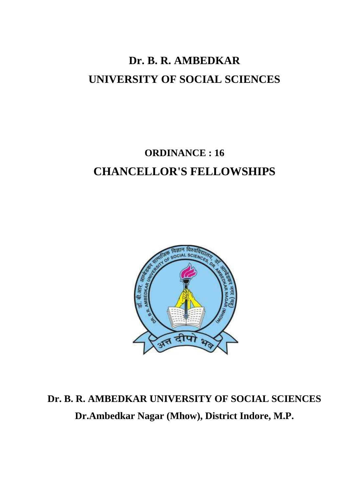### **Dr. B. R. AMBEDKAR UNIVERSITY OF SOCIAL SCIENCES**

# **ORDINANCE : 16 CHANCELLOR'S FELLOWSHIPS**



## **Dr. B. R. AMBEDKAR UNIVERSITY OF SOCIAL SCIENCES Dr.Ambedkar Nagar (Mhow), District Indore, M.P.**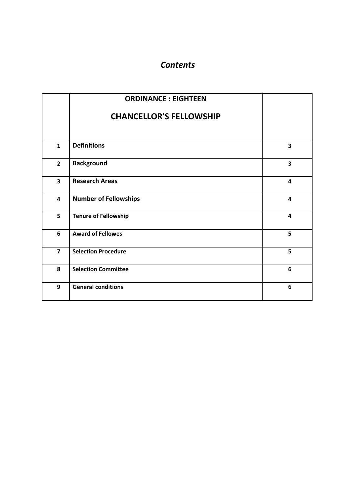#### *Contents*

|                         | <b>ORDINANCE: EIGHTEEN</b>     |                         |
|-------------------------|--------------------------------|-------------------------|
|                         | <b>CHANCELLOR'S FELLOWSHIP</b> |                         |
| $\mathbf{1}$            | <b>Definitions</b>             | $\overline{\mathbf{3}}$ |
| $\overline{2}$          | <b>Background</b>              | 3                       |
| $\overline{\mathbf{3}}$ | <b>Research Areas</b>          | 4                       |
| 4                       | <b>Number of Fellowships</b>   | $\overline{\mathbf{4}}$ |
| 5                       | <b>Tenure of Fellowship</b>    | 4                       |
| 6                       | <b>Award of Fellowes</b>       | 5                       |
| $\overline{ }$          | <b>Selection Procedure</b>     | 5                       |
| 8                       | <b>Selection Committee</b>     | 6                       |
| 9                       | <b>General conditions</b>      | 6                       |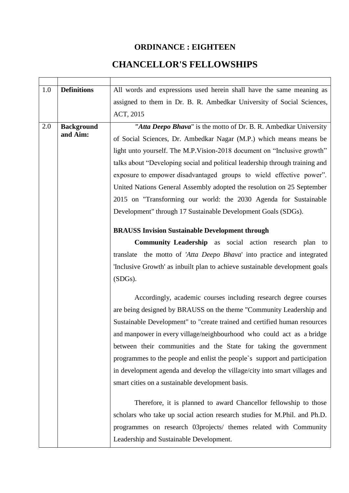### **ORDINANCE : EIGHTEEN**

### **CHANCELLOR'S FELLOWSHIPS**

| 1.0 | <b>Definitions</b> | All words and expressions used herein shall have the same meaning as         |
|-----|--------------------|------------------------------------------------------------------------------|
|     |                    | assigned to them in Dr. B. R. Ambedkar University of Social Sciences,        |
|     |                    | ACT, 2015                                                                    |
| 2.0 | <b>Background</b>  | "Atta Deepo Bhava" is the motto of Dr. B. R. Ambedkar University             |
|     | and Aim:           | of Social Sciences, Dr. Ambedkar Nagar (M.P.) which means means be           |
|     |                    | light unto yourself. The M.P. Vision-2018 document on "Inclusive growth"     |
|     |                    | talks about "Developing social and political leadership through training and |
|     |                    | exposure to empower disadvantaged groups to wield effective power".          |
|     |                    | United Nations General Assembly adopted the resolution on 25 September       |
|     |                    | 2015 on "Transforming our world: the 2030 Agenda for Sustainable             |
|     |                    | Development" through 17 Sustainable Development Goals (SDGs).                |
|     |                    | <b>BRAUSS Invision Sustainable Development through</b>                       |
|     |                    | <b>Community Leadership</b> as social action research plan to                |
|     |                    | translate the motto of 'Atta Deepo Bhava' into practice and integrated       |
|     |                    | 'Inclusive Growth' as inbuilt plan to achieve sustainable development goals  |
|     |                    | (SDGs).                                                                      |
|     |                    | Accordingly, academic courses including research degree courses              |
|     |                    | are being designed by BRAUSS on the theme "Community Leadership and          |
|     |                    | Sustainable Development" to "create trained and certified human resources    |
|     |                    | and manpower in every village/neighbourhood who could act as a bridge        |
|     |                    | between their communities and the State for taking the government            |
|     |                    | programmes to the people and enlist the people's support and participation   |
|     |                    | in development agenda and develop the village/city into smart villages and   |
|     |                    | smart cities on a sustainable development basis.                             |
|     |                    | Therefore, it is planned to award Chancellor fellowship to those             |
|     |                    | scholars who take up social action research studies for M.Phil. and Ph.D.    |
|     |                    | programmes on research 03projects/ themes related with Community             |
|     |                    | Leadership and Sustainable Development.                                      |
|     |                    |                                                                              |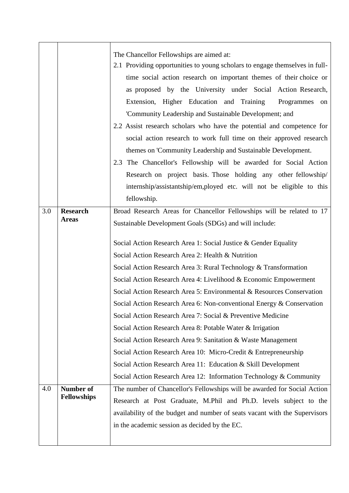|     |                                        | The Chancellor Fellowships are aimed at:<br>2.1 Providing opportunities to young scholars to engage themselves in full-<br>time social action research on important themes of their choice or<br>as proposed by the University under Social Action Research,<br>Extension, Higher Education and Training<br>Programmes on<br>'Community Leadership and Sustainable Development; and<br>2.2 Assist research scholars who have the potential and competence for<br>social action research to work full time on their approved research<br>themes on 'Community Leadership and Sustainable Development.<br>2.3 The Chancellor's Fellowship will be awarded for Social Action<br>Research on project basis. Those holding any other fellowship/<br>internship/assistantship/em, ployed etc. will not be eligible to this<br>fellowship. |
|-----|----------------------------------------|-------------------------------------------------------------------------------------------------------------------------------------------------------------------------------------------------------------------------------------------------------------------------------------------------------------------------------------------------------------------------------------------------------------------------------------------------------------------------------------------------------------------------------------------------------------------------------------------------------------------------------------------------------------------------------------------------------------------------------------------------------------------------------------------------------------------------------------|
| 3.0 | <b>Research</b><br><b>Areas</b>        | Broad Research Areas for Chancellor Fellowships will be related to 17<br>Sustainable Development Goals (SDGs) and will include:                                                                                                                                                                                                                                                                                                                                                                                                                                                                                                                                                                                                                                                                                                     |
|     |                                        | Social Action Research Area 1: Social Justice & Gender Equality<br>Social Action Research Area 2: Health & Nutrition<br>Social Action Research Area 3: Rural Technology & Transformation<br>Social Action Research Area 4: Livelihood & Economic Empowerment<br>Social Action Research Area 5: Environmental & Resources Conservation<br>Social Action Research Area 6: Non-conventional Energy & Conservation<br>Social Action Research Area 7: Social & Preventive Medicine<br>Social Action Research Area 8: Potable Water & Irrigation<br>Social Action Research Area 9: Sanitation & Waste Management<br>Social Action Research Area 10: Micro-Credit & Entrepreneurship<br>Social Action Research Area 11: Education & Skill Development<br>Social Action Research Area 12: Information Technology & Community                |
| 4.0 | <b>Number of</b><br><b>Fellowships</b> | The number of Chancellor's Fellowships will be awarded for Social Action<br>Research at Post Graduate, M.Phil and Ph.D. levels subject to the<br>availability of the budget and number of seats vacant with the Supervisors<br>in the academic session as decided by the EC.                                                                                                                                                                                                                                                                                                                                                                                                                                                                                                                                                        |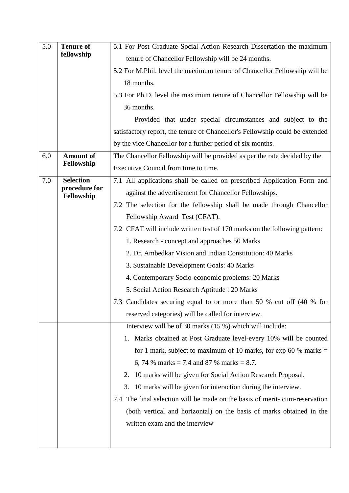| 5.0 | <b>Tenure of</b><br>fellowship | 5.1 For Post Graduate Social Action Research Dissertation the maximum        |
|-----|--------------------------------|------------------------------------------------------------------------------|
|     |                                | tenure of Chancellor Fellowship will be 24 months.                           |
|     |                                | 5.2 For M.Phil. level the maximum tenure of Chancellor Fellowship will be    |
|     |                                | 18 months.                                                                   |
|     |                                | 5.3 For Ph.D. level the maximum tenure of Chancellor Fellowship will be      |
|     |                                | 36 months.                                                                   |
|     |                                | Provided that under special circumstances and subject to the                 |
|     |                                | satisfactory report, the tenure of Chancellor's Fellowship could be extended |
|     |                                | by the vice Chancellor for a further period of six months.                   |
| 6.0 | <b>Amount of</b>               | The Chancellor Fellowship will be provided as per the rate decided by the    |
|     | Fellowship                     | Executive Council from time to time.                                         |
| 7.0 | <b>Selection</b>               | 7.1 All applications shall be called on prescribed Application Form and      |
|     | procedure for<br>Fellowship    | against the advertisement for Chancellor Fellowships.                        |
|     |                                | 7.2 The selection for the fellowship shall be made through Chancellor        |
|     |                                | Fellowship Award Test (CFAT).                                                |
|     |                                | 7.2 CFAT will include written test of 170 marks on the following pattern:    |
|     |                                | 1. Research - concept and approaches 50 Marks                                |
|     |                                | 2. Dr. Ambedkar Vision and Indian Constitution: 40 Marks                     |
|     |                                | 3. Sustainable Development Goals: 40 Marks                                   |
|     |                                | 4. Contemporary Socio-economic problems: 20 Marks                            |
|     |                                | 5. Social Action Research Aptitude : 20 Marks                                |
|     |                                | 7.3 Candidates securing equal to or more than 50 % cut off (40 % for         |
|     |                                | reserved categories) will be called for interview.                           |
|     |                                | Interview will be of 30 marks (15 %) which will include:                     |
|     |                                | Marks obtained at Post Graduate level-every 10% will be counted              |
|     |                                | for 1 mark, subject to maximum of 10 marks, for exp 60 % marks $=$           |
|     |                                | 6, 74 % marks = 7.4 and 87 % marks = 8.7.                                    |
|     |                                | 10 marks will be given for Social Action Research Proposal.<br>2.            |
|     |                                | 10 marks will be given for interaction during the interview.<br>3.           |
|     |                                | 7.4 The final selection will be made on the basis of merit-cum-reservation   |
|     |                                | (both vertical and horizontal) on the basis of marks obtained in the         |
|     |                                | written exam and the interview                                               |
|     |                                |                                                                              |
|     |                                |                                                                              |